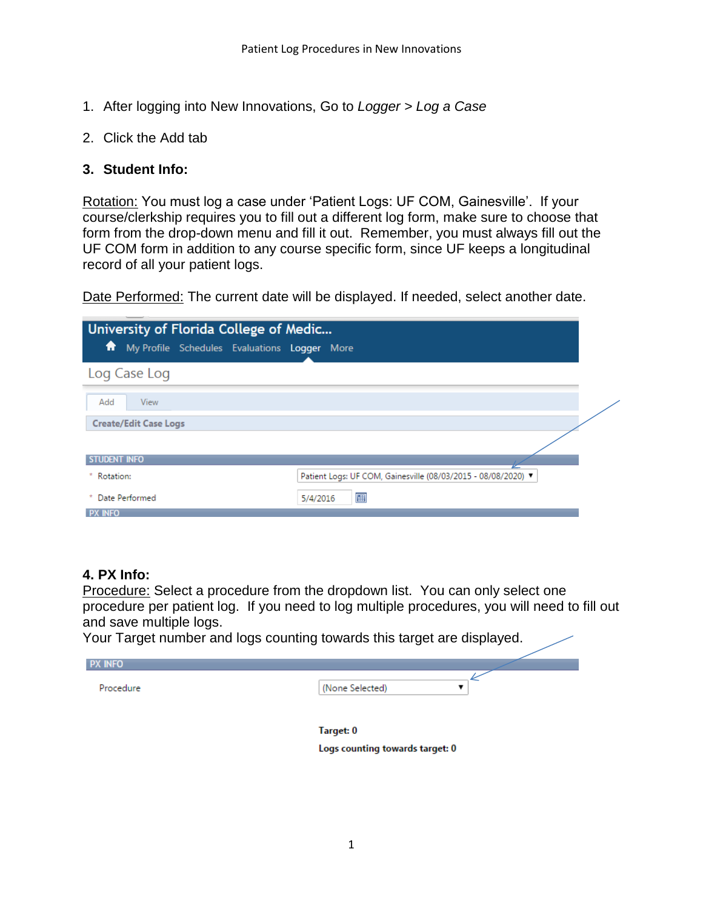- 1. After logging into New Innovations, Go to *Logger > Log a Case*
- 2. Click the Add tab

### **3. Student Info:**

Rotation: You must log a case under 'Patient Logs: UF COM, Gainesville'. If your course/clerkship requires you to fill out a different log form, make sure to choose that form from the drop-down menu and fill it out. Remember, you must always fill out the UF COM form in addition to any course specific form, since UF keeps a longitudinal record of all your patient logs.

Date Performed: The current date will be displayed. If needed, select another date.

| University of Florida College of Medic            |                                                               |  |  |
|---------------------------------------------------|---------------------------------------------------------------|--|--|
| My Profile Schedules Evaluations Logger More<br>₩ |                                                               |  |  |
| Log Case Log                                      |                                                               |  |  |
| Add<br><b>View</b>                                |                                                               |  |  |
| <b>Create/Edit Case Logs</b>                      |                                                               |  |  |
|                                                   |                                                               |  |  |
| <b>STUDENT INFO</b>                               |                                                               |  |  |
| *.<br>Rotation:                                   | Patient Logs: UF COM, Gainesville (08/03/2015 - 08/08/2020) V |  |  |
| Date Performed<br>*.                              | 團<br>5/4/2016                                                 |  |  |
| <b>PX INFO</b>                                    |                                                               |  |  |

## **4. PX Info:**

Procedure: Select a procedure from the dropdown list. You can only select one procedure per patient log. If you need to log multiple procedures, you will need to fill out and save multiple logs.

Your Target number and logs counting towards this target are displayed.

| <b>PX INFO</b> |                 |
|----------------|-----------------|
| Procedure      | (None Selected) |
|                |                 |

Target: 0 Logs counting towards target: 0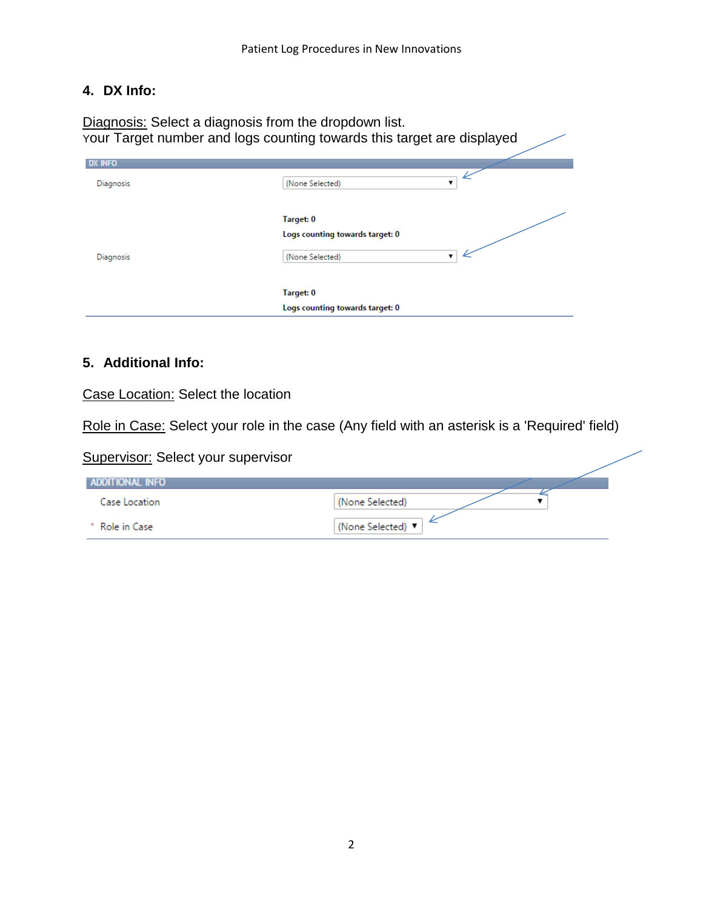# **4. DX Info:**

Diagnosis: Select a diagnosis from the dropdown list. Your Target number and logs counting towards this target are displayed

| <b>DX INFO</b> |                                 |   |
|----------------|---------------------------------|---|
| Diagnosis      | (None Selected)                 | 7 |
|                | Target: 0                       |   |
|                | Logs counting towards target: 0 |   |
| Diagnosis      | (None Selected)                 |   |
|                | Target: 0                       |   |
|                | Logs counting towards target: 0 |   |

#### **5. Additional Info:**

Case Location: Select the location

Role in Case: Select your role in the case (Any field with an asterisk is a 'Required' field)

| <b>Supervisor: Select your supervisor</b> |                 |
|-------------------------------------------|-----------------|
| ADDITIONAL INFO                           |                 |
| Case Location                             | (None Selected) |
| * Role in Case                            | (None Selected) |